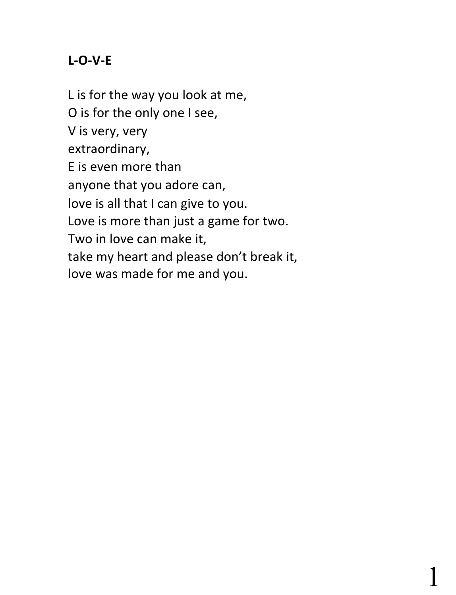### **L-O-V-E**

L is for the way you look at me, O is for the only one I see, V is very, very extraordinary, E is even more than anyone that you adore can, love is all that I can give to you. Love is more than just a game for two. Two in love can make it, take my heart and please don't break it, love was made for me and you.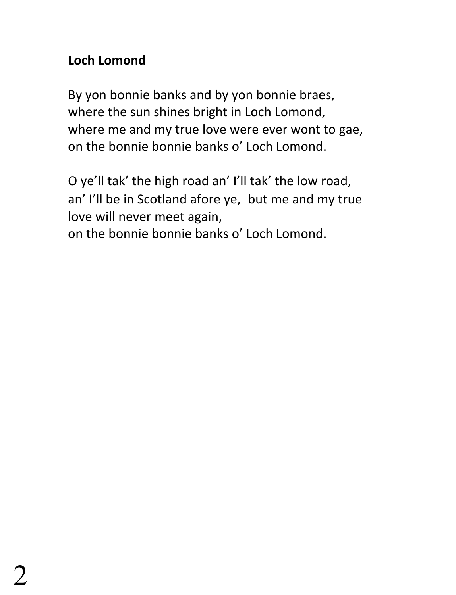## **Loch Lomond**

By yon bonnie banks and by yon bonnie braes, where the sun shines bright in Loch Lomond, where me and my true love were ever wont to gae, on the bonnie bonnie banks o' Loch Lomond.

O ye'll tak' the high road an' I'll tak' the low road, an' I'll be in Scotland afore ye, but me and my true love will never meet again,

on the bonnie bonnie banks o' Loch Lomond.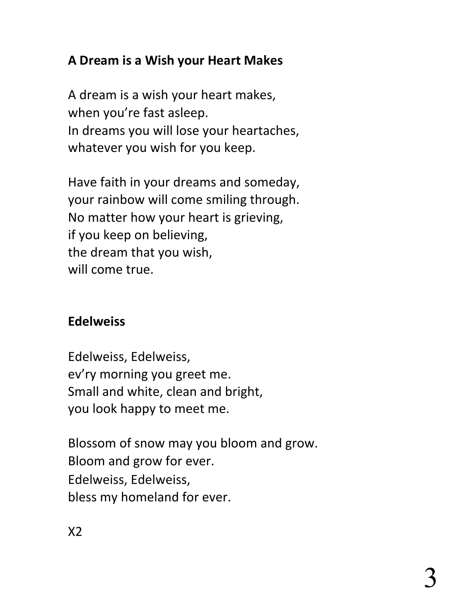# **A Dream is a Wish your Heart Makes**

A dream is a wish your heart makes, when you're fast asleep. In dreams you will lose your heartaches, whatever you wish for you keep.

Have faith in your dreams and someday, your rainbow will come smiling through. No matter how your heart is grieving, if you keep on believing, the dream that you wish, will come true.

## **Edelweiss**

Edelweiss, Edelweiss, ev'ry morning you greet me. Small and white, clean and bright, you look happy to meet me.

Blossom of snow may you bloom and grow. Bloom and grow for ever. Edelweiss, Edelweiss, bless my homeland for ever.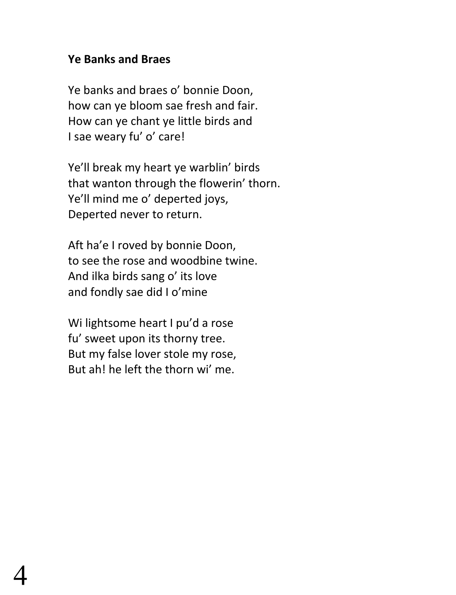#### **Ye Banks and Braes**

Ye banks and braes o' bonnie Doon, how can ye bloom sae fresh and fair. How can ye chant ye little birds and I sae weary fu' o' care!

Ye'll break my heart ye warblin' birds that wanton through the flowerin' thorn. Ye'll mind me o' deperted joys, Deperted never to return.

Aft ha'e I roved by bonnie Doon, to see the rose and woodbine twine. And ilka birds sang o' its love and fondly sae did I o'mine

Wi lightsome heart I pu'd a rose fu' sweet upon its thorny tree. But my false lover stole my rose, But ah! he left the thorn wi' me.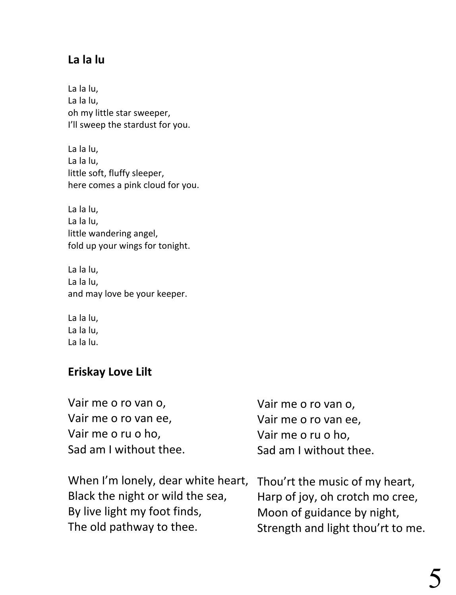#### **La la lu**

La la lu, La la lu, oh my little star sweeper, I'll sweep the stardust for you.

La la lu, La la lu, little soft, fluffy sleeper, here comes a pink cloud for you.

La la lu, La la lu, little wandering angel, fold up your wings for tonight.

La la lu, La la lu, and may love be your keeper.

La la lu, La la lu, La la lu.

### **Eriskay Love Lilt**

| Vair me o ro van o,    | Vair me o ro van o,    |
|------------------------|------------------------|
| Vair me o ro van ee,   | Vair me o ro van ee,   |
| Vair me o ru o ho,     | Vair me o ru o ho,     |
| Sad am I without thee. | Sad am I without thee. |

| When I'm lonely, dear white heart, Thou'rt the music of my heart, |                                   |
|-------------------------------------------------------------------|-----------------------------------|
| Black the night or wild the sea,                                  | Harp of joy, oh crotch mo cree,   |
| By live light my foot finds,                                      | Moon of guidance by night,        |
| The old pathway to thee.                                          | Strength and light thou'rt to me. |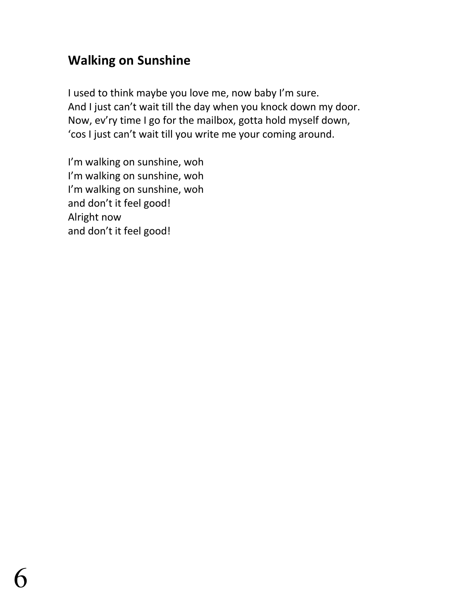## **Walking on Sunshine**

I used to think maybe you love me, now baby I'm sure. And I just can't wait till the day when you knock down my door. Now, ev'ry time I go for the mailbox, gotta hold myself down, 'cos I just can't wait till you write me your coming around.

I'm walking on sunshine, woh I'm walking on sunshine, woh I'm walking on sunshine, woh and don't it feel good! Alright now and don't it feel good!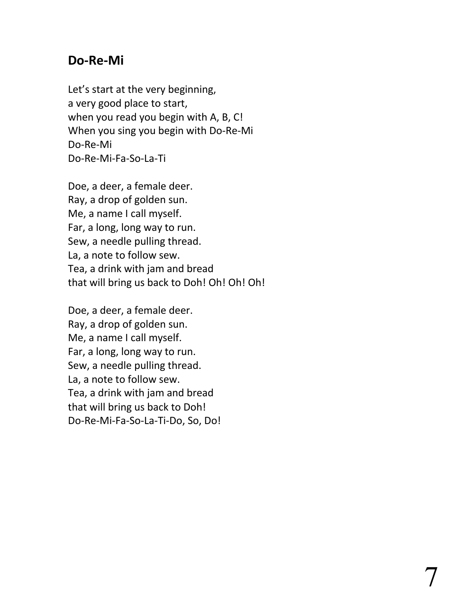### **Do-Re-Mi**

Let's start at the very beginning, a very good place to start, when you read you begin with A, B, C! When you sing you begin with Do-Re-Mi Do-Re-Mi Do-Re-Mi-Fa-So-La-Ti

Doe, a deer, a female deer. Ray, a drop of golden sun. Me, a name I call myself. Far, a long, long way to run. Sew, a needle pulling thread. La, a note to follow sew. Tea, a drink with jam and bread that will bring us back to Doh! Oh! Oh! Oh!

Doe, a deer, a female deer. Ray, a drop of golden sun. Me, a name I call myself. Far, a long, long way to run. Sew, a needle pulling thread. La, a note to follow sew. Tea, a drink with jam and bread that will bring us back to Doh! Do-Re-Mi-Fa-So-La-Ti-Do, So, Do!